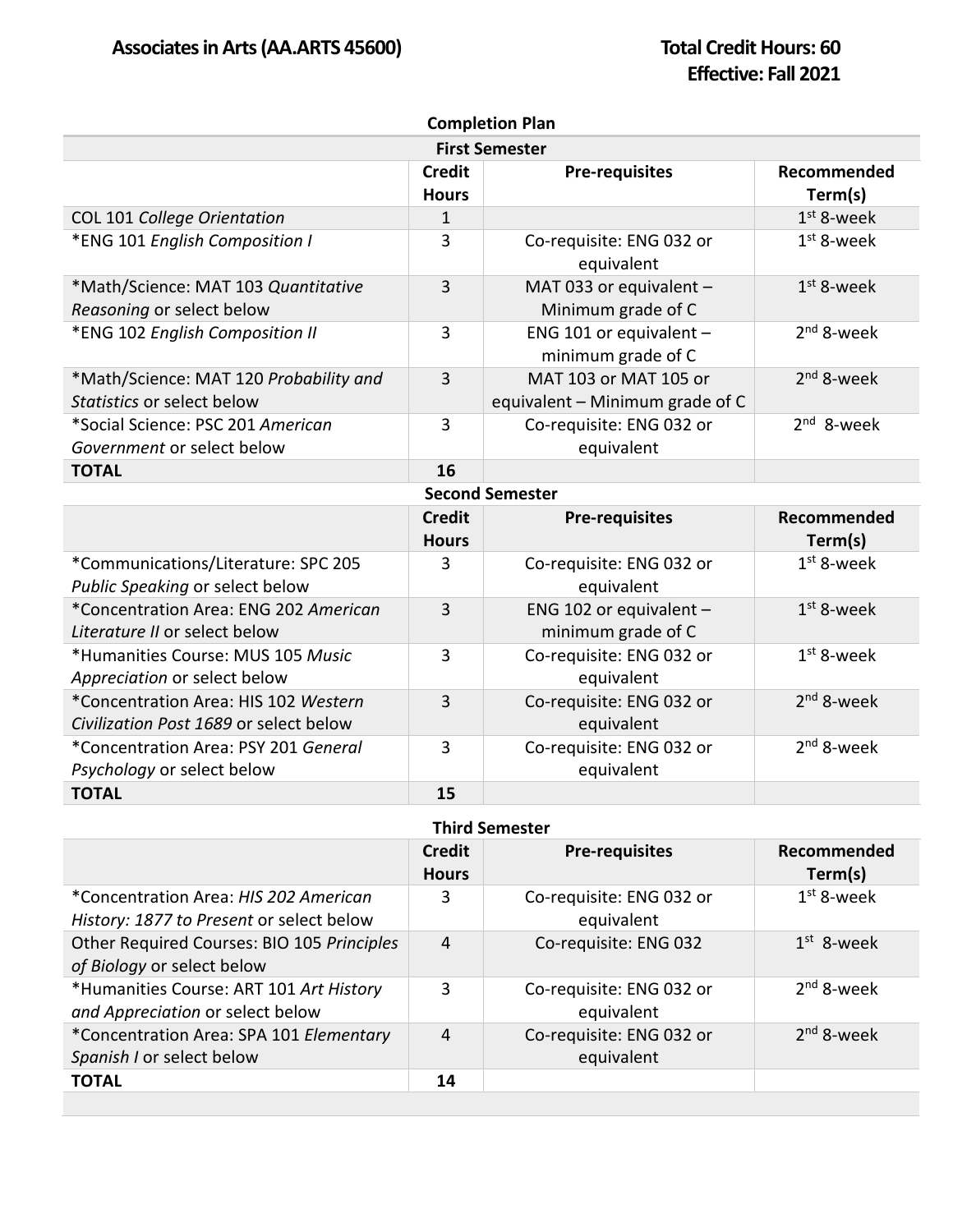| <b>Completion Plan</b>                                                         |                               |                                                          |                        |  |  |  |
|--------------------------------------------------------------------------------|-------------------------------|----------------------------------------------------------|------------------------|--|--|--|
| <b>First Semester</b>                                                          |                               |                                                          |                        |  |  |  |
|                                                                                | <b>Credit</b><br><b>Hours</b> | <b>Pre-requisites</b>                                    | Recommended<br>Term(s) |  |  |  |
| COL 101 College Orientation                                                    | $\mathbf{1}$                  |                                                          | $1st$ 8-week           |  |  |  |
| *ENG 101 English Composition I                                                 | 3                             | Co-requisite: ENG 032 or<br>equivalent                   | $1st$ 8-week           |  |  |  |
| *Math/Science: MAT 103 Quantitative<br>Reasoning or select below               | 3                             | MAT 033 or equivalent -<br>Minimum grade of C            | $1st$ 8-week           |  |  |  |
| *ENG 102 English Composition II                                                | $\overline{3}$                | ENG 101 or equivalent $-$<br>minimum grade of C          | 2 <sup>nd</sup> 8-week |  |  |  |
| *Math/Science: MAT 120 Probability and<br>Statistics or select below           | $\overline{3}$                | MAT 103 or MAT 105 or<br>equivalent – Minimum grade of C | $2nd$ 8-week           |  |  |  |
| *Social Science: PSC 201 American<br>Government or select below                | 3                             | Co-requisite: ENG 032 or<br>equivalent                   | $2nd$ 8-week           |  |  |  |
| <b>TOTAL</b>                                                                   | 16                            |                                                          |                        |  |  |  |
|                                                                                |                               | <b>Second Semester</b>                                   |                        |  |  |  |
|                                                                                | <b>Credit</b><br><b>Hours</b> | <b>Pre-requisites</b>                                    | Recommended<br>Term(s) |  |  |  |
| *Communications/Literature: SPC 205<br>Public Speaking or select below         | 3                             | Co-requisite: ENG 032 or<br>equivalent                   | $1st$ 8-week           |  |  |  |
| *Concentration Area: ENG 202 American<br>Literature II or select below         | $\overline{3}$                | ENG 102 or equivalent $-$<br>minimum grade of C          | $1st$ 8-week           |  |  |  |
| *Humanities Course: MUS 105 Music<br>Appreciation or select below              | 3                             | Co-requisite: ENG 032 or<br>equivalent                   | $1st$ 8-week           |  |  |  |
| *Concentration Area: HIS 102 Western<br>Civilization Post 1689 or select below | 3                             | Co-requisite: ENG 032 or<br>equivalent                   | $2nd$ 8-week           |  |  |  |
| *Concentration Area: PSY 201 General<br>Psychology or select below             | 3                             | Co-requisite: ENG 032 or<br>equivalent                   | $2nd$ 8-week           |  |  |  |
| <b>TOTAL</b>                                                                   | 15                            |                                                          |                        |  |  |  |

| <b>Third Semester</b> |
|-----------------------|
|                       |

|                                                                                   | <b>Credit</b><br><b>Hours</b> | <b>Pre-requisites</b>                  | Recommended<br>Term(s) |
|-----------------------------------------------------------------------------------|-------------------------------|----------------------------------------|------------------------|
| *Concentration Area: HIS 202 American<br>History: 1877 to Present or select below | 3                             | Co-requisite: ENG 032 or<br>equivalent | $1st$ 8-week           |
| Other Required Courses: BIO 105 Principles<br>of Biology or select below          | 4                             | Co-requisite: ENG 032                  | $1st$ 8-week           |
| *Humanities Course: ART 101 Art History<br>and Appreciation or select below       | 3                             | Co-requisite: ENG 032 or<br>equivalent | $2nd$ 8-week           |
| *Concentration Area: SPA 101 Elementary<br>Spanish I or select below              | 4                             | Co-requisite: ENG 032 or<br>equivalent | $2nd$ 8-week           |
| <b>TOTAL</b>                                                                      | 14                            |                                        |                        |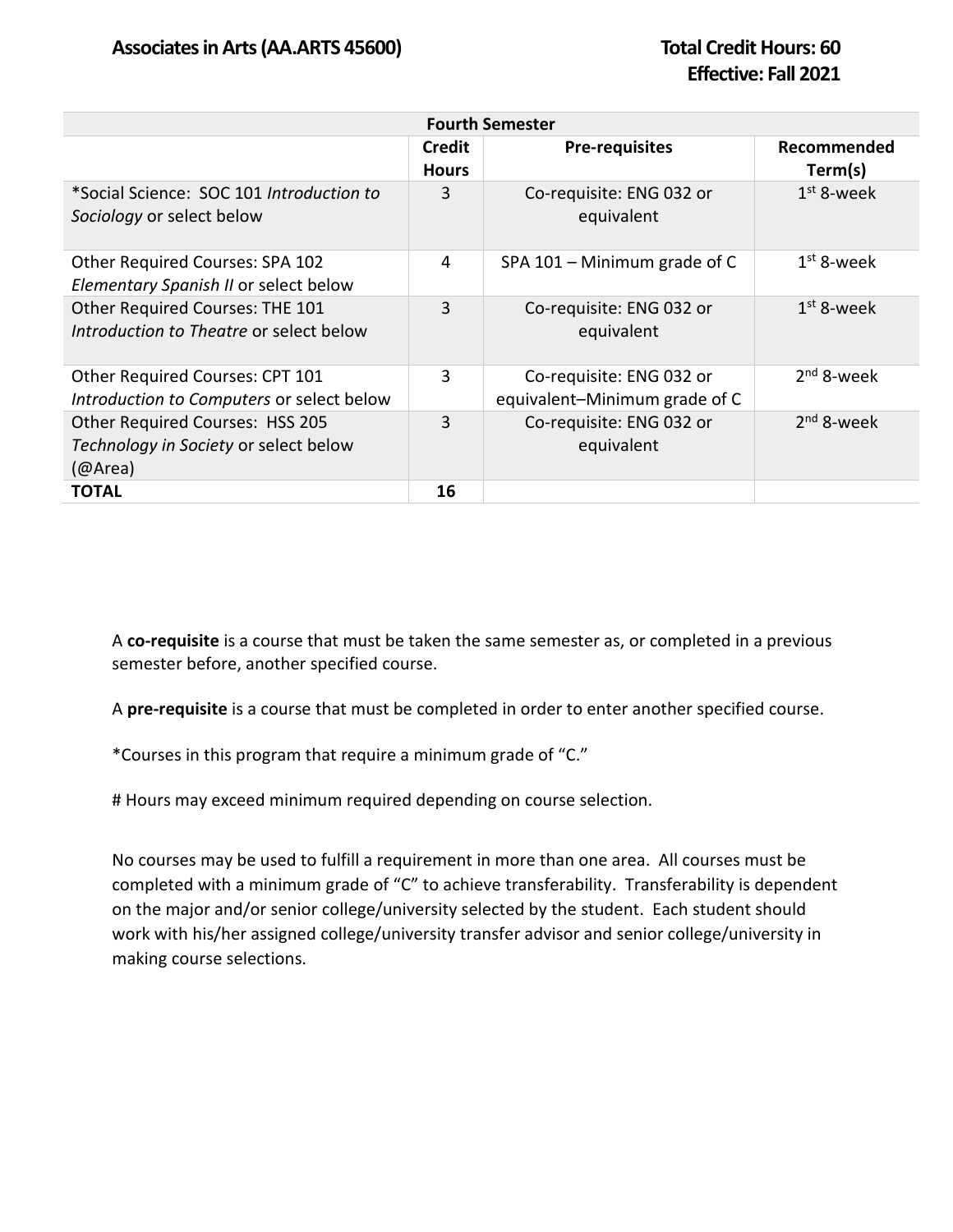| <b>Fourth Semester</b>                                                              |                        |                                                           |                        |  |  |  |
|-------------------------------------------------------------------------------------|------------------------|-----------------------------------------------------------|------------------------|--|--|--|
|                                                                                     | Credit<br><b>Hours</b> | <b>Pre-requisites</b>                                     | Recommended<br>Term(s) |  |  |  |
| *Social Science: SOC 101 Introduction to<br>Sociology or select below               | 3                      | Co-requisite: ENG 032 or<br>equivalent                    | $1st$ 8-week           |  |  |  |
| Other Required Courses: SPA 102<br>Elementary Spanish II or select below            | 4                      | SPA $101 -$ Minimum grade of C                            | $1st$ 8-week           |  |  |  |
| Other Required Courses: THE 101<br>Introduction to Theatre or select below          | 3                      | Co-requisite: ENG 032 or<br>equivalent                    | $1st$ 8-week           |  |  |  |
| Other Required Courses: CPT 101<br>Introduction to Computers or select below        | 3                      | Co-requisite: ENG 032 or<br>equivalent-Minimum grade of C | $2nd$ 8-week           |  |  |  |
| Other Required Courses: HSS 205<br>Technology in Society or select below<br>(QArea) | 3                      | Co-requisite: ENG 032 or<br>equivalent                    | $2nd$ 8-week           |  |  |  |
| <b>TOTAL</b>                                                                        | 16                     |                                                           |                        |  |  |  |

A **co-requisite** is a course that must be taken the same semester as, or completed in a previous semester before, another specified course.

A **pre-requisite** is a course that must be completed in order to enter another specified course.

\*Courses in this program that require a minimum grade of "C."

# Hours may exceed minimum required depending on course selection.

No courses may be used to fulfill a requirement in more than one area. All courses must be completed with a minimum grade of "C" to achieve transferability. Transferability is dependent on the major and/or senior college/university selected by the student. Each student should work with his/her assigned college/university transfer advisor and senior college/university in making course selections.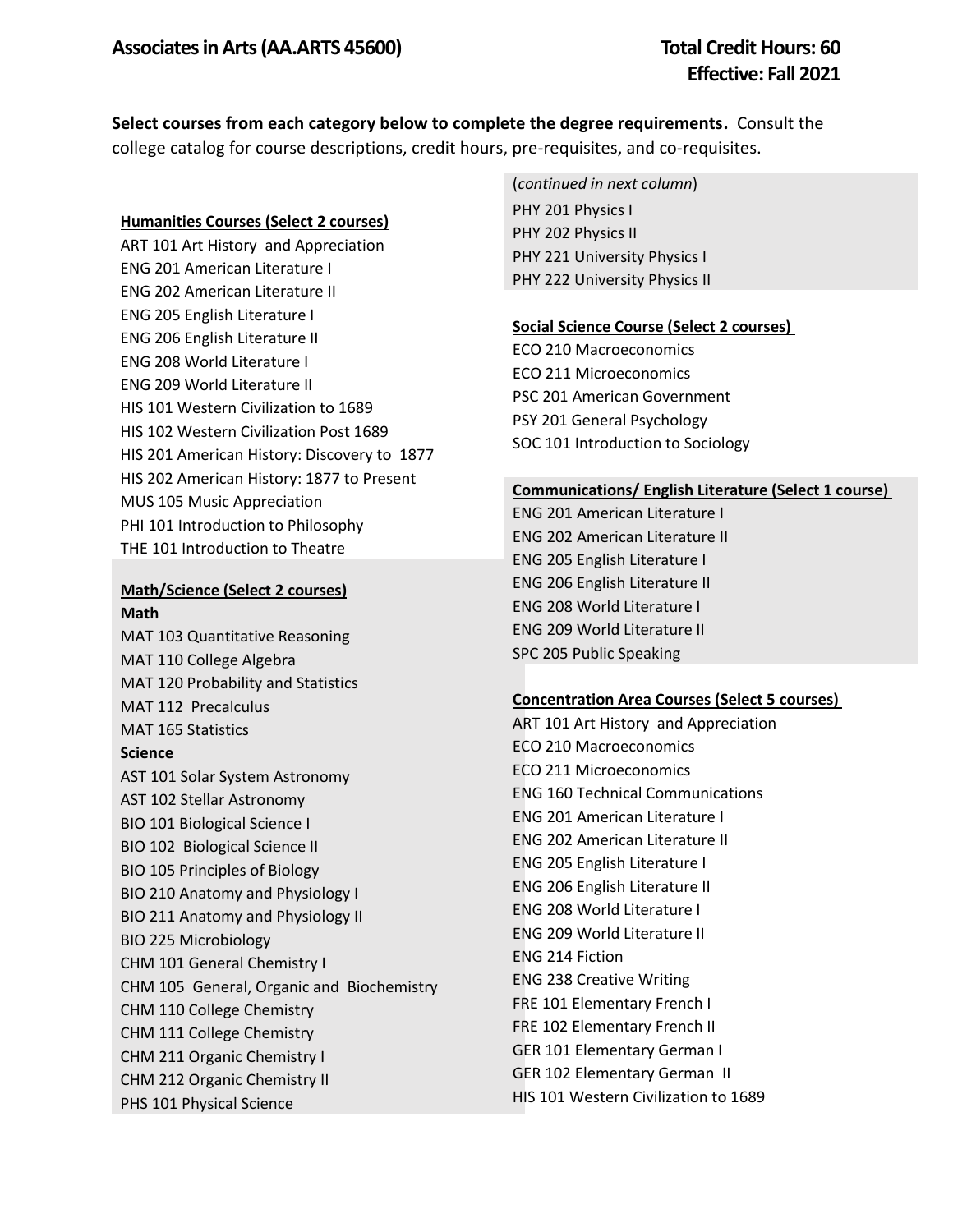**Select courses from each category below to complete the degree requirements.** Consult the college catalog for course descriptions, credit hours, pre-requisites, and co-requisites.

#### **Humanities Courses (Select 2 courses)**

ART 101 Art History and Appreciation ENG 201 American Literature I ENG 202 American Literature II ENG 205 English Literature I ENG 206 English Literature II ENG 208 World Literature I ENG 209 World Literature II HIS 101 Western Civilization to 1689 HIS 102 Western Civilization Post 1689 HIS 201 American History: Discovery to 1877 HIS 202 American History: 1877 to Present MUS 105 Music Appreciation PHI 101 Introduction to Philosophy THE 101 Introduction to Theatre

## **Math/Science (Select 2 courses) Math**

MAT 103 Quantitative Reasoning MAT 110 College Algebra MAT 120 Probability and Statistics MAT 112 Precalculus MAT 165 Statistics **Science**  AST 101 Solar System Astronomy AST 102 Stellar Astronomy BIO 101 Biological Science I BIO 102 Biological Science II BIO 105 Principles of Biology BIO 210 Anatomy and Physiology I BIO 211 Anatomy and Physiology II BIO 225 Microbiology CHM 101 General Chemistry I CHM 105 General, Organic and Biochemistry CHM 110 College Chemistry CHM 111 College Chemistry CHM 211 Organic Chemistry I CHM 212 Organic Chemistry II PHS 101 Physical Science

(*continued in next column*) PHY 201 Physics I PHY 202 Physics II PHY 221 University Physics I PHY 222 University Physics II

### **Social Science Course (Select 2 courses)**

ECO 210 Macroeconomics ECO 211 Microeconomics PSC 201 American Government PSY 201 General Psychology SOC 101 Introduction to Sociology

#### **Communications/ English Literature (Select 1 course)**

ENG 201 American Literature I ENG 202 American Literature II ENG 205 English Literature I ENG 206 English Literature II ENG 208 World Literature I ENG 209 World Literature II SPC 205 Public Speaking

#### **Concentration Area Courses (Select 5 courses)**

ART 101 Art History and Appreciation ECO 210 Macroeconomics ECO 211 Microeconomics ENG 160 Technical Communications ENG 201 American Literature I ENG 202 American Literature II ENG 205 English Literature I ENG 206 English Literature II ENG 208 World Literature I ENG 209 World Literature II ENG 214 Fiction ENG 238 Creative Writing FRE 101 Elementary French I FRE 102 Elementary French II GER 101 Elementary German I GER 102 Elementary German II HIS 101 Western Civilization to 1689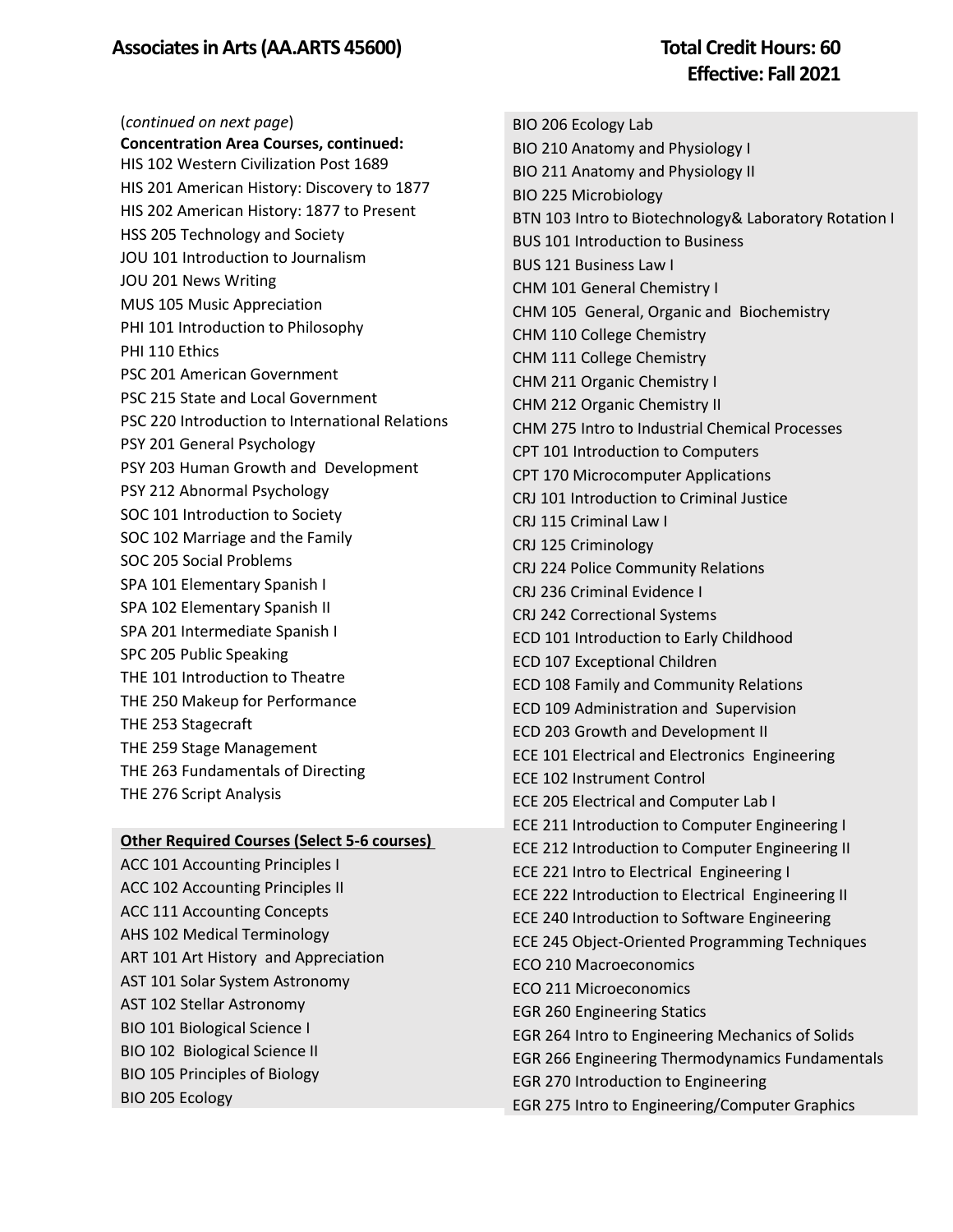# **Effective: Fall 2021**

(*continued on next page*) **Concentration Area Courses, continued:** HIS 102 Western Civilization Post 1689 HIS 201 American History: Discovery to 1877 HIS 202 American History: 1877 to Present HSS 205 Technology and Society JOU 101 Introduction to Journalism JOU 201 News Writing MUS 105 Music Appreciation PHI 101 Introduction to Philosophy PHI 110 Ethics PSC 201 American Government PSC 215 State and Local Government PSC 220 Introduction to International Relations PSY 201 General Psychology PSY 203 Human Growth and Development PSY 212 Abnormal Psychology SOC 101 Introduction to Society SOC 102 Marriage and the Family SOC 205 Social Problems SPA 101 Elementary Spanish I SPA 102 Elementary Spanish II SPA 201 Intermediate Spanish I SPC 205 Public Speaking THE 101 Introduction to Theatre THE 250 Makeup for Performance THE 253 Stagecraft THE 259 Stage Management THE 263 Fundamentals of Directing THE 276 Script Analysis

#### **Other Required Courses (Select 5-6 courses)**

ACC 101 Accounting Principles I ACC 102 Accounting Principles II ACC 111 Accounting Concepts AHS 102 Medical Terminology ART 101 Art History and Appreciation AST 101 Solar System Astronomy AST 102 Stellar Astronomy BIO 101 Biological Science I BIO 102 Biological Science II BIO 105 Principles of Biology BIO 205 Ecology

BIO 206 Ecology Lab BIO 210 Anatomy and Physiology I BIO 211 Anatomy and Physiology II BIO 225 Microbiology BTN 103 Intro to Biotechnology& Laboratory Rotation I BUS 101 Introduction to Business BUS 121 Business Law I CHM 101 General Chemistry I CHM 105 General, Organic and Biochemistry CHM 110 College Chemistry CHM 111 College Chemistry CHM 211 Organic Chemistry I CHM 212 Organic Chemistry II CHM 275 Intro to Industrial Chemical Processes CPT 101 Introduction to Computers CPT 170 Microcomputer Applications CRJ 101 Introduction to Criminal Justice CRJ 115 Criminal Law I CRJ 125 Criminology CRJ 224 Police Community Relations CRJ 236 Criminal Evidence I CRJ 242 Correctional Systems ECD 101 Introduction to Early Childhood ECD 107 Exceptional Children ECD 108 Family and Community Relations ECD 109 Administration and Supervision ECD 203 Growth and Development II ECE 101 Electrical and Electronics Engineering ECE 102 Instrument Control ECE 205 Electrical and Computer Lab I ECE 211 Introduction to Computer Engineering I ECE 212 Introduction to Computer Engineering II ECE 221 Intro to Electrical Engineering I ECE 222 Introduction to Electrical Engineering II ECE 240 Introduction to Software Engineering ECE 245 Object-Oriented Programming Techniques ECO 210 Macroeconomics ECO 211 Microeconomics EGR 260 Engineering Statics EGR 264 Intro to Engineering Mechanics of Solids EGR 266 Engineering Thermodynamics Fundamentals EGR 270 Introduction to Engineering EGR 275 Intro to Engineering/Computer Graphics